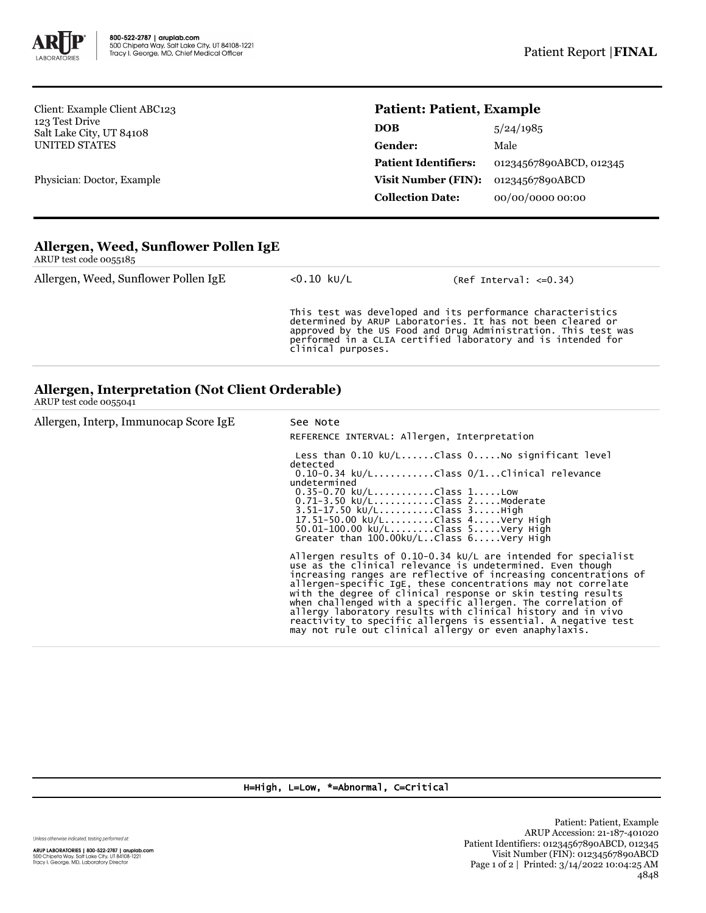

Client: Example Client ABC123 123 Test Drive Salt Lake City, UT 84108 UNITED STATES

Physician: Doctor, Example

## **Patient: Patient, Example**

| <b>DOB</b>                  | 5/24/1985               |
|-----------------------------|-------------------------|
| <b>Gender:</b>              | Male                    |
| <b>Patient Identifiers:</b> | 01234567890ABCD, 012345 |
| Visit Number (FIN):         | 01234567890ABCD         |
| <b>Collection Date:</b>     | 00/00/0000 00:00        |

## **Allergen, Weed, Sunflower Pollen IgE** ARUP test code 0055185

| ARUI RISECOUC OUANIUN                |                    |                                                                                                                                                                                                                                                              |
|--------------------------------------|--------------------|--------------------------------------------------------------------------------------------------------------------------------------------------------------------------------------------------------------------------------------------------------------|
| Allergen, Weed, Sunflower Pollen IgE | $<$ 0.10 kU/L      | $(Ref Interval: < = 0.34)$                                                                                                                                                                                                                                   |
|                                      | clinical purposes. | This test was developed and its performance characteristics<br>determined by ARUP Laboratories. It has not been cleared or<br>approved by the US Food and Drug Administration. This test was<br>performed in a CLIA certified laboratory and is intended for |

## **Allergen, Interpretation (Not Client Orderable)**

ARUP test code 0055041

| Allergen, Interp, Immunocap Score IgE | See Note<br>REFERENCE INTERVAL: Allergen, Interpretation                                                                                                                                                                                                                                                                                                                                                                                                                                                                                                                                          |  |
|---------------------------------------|---------------------------------------------------------------------------------------------------------------------------------------------------------------------------------------------------------------------------------------------------------------------------------------------------------------------------------------------------------------------------------------------------------------------------------------------------------------------------------------------------------------------------------------------------------------------------------------------------|--|
|                                       | detected<br>$0.10-0.34$ ku/LClass $0/1$ Clinical relevance<br>undetermined<br>$0.35 - 0.70$ kU/LClass 1Low<br>$0.71 - 3.50 \text{ kU/L}$ Class 2Moderate<br>$3.51 - 17.50 \text{ kU/L}$ Class $3.$ High<br>17.51-50.00 kU/LClass 4Very High<br>50.01-100.00 kU/LClass 5Very High<br>Greater than $100.00 \text{kU/L}$ Class $6 \ldots$ Very High                                                                                                                                                                                                                                                  |  |
|                                       | Allergen results of $0.10 - 0.34$ kU/L are intended for specialist<br>use as the clinical relevance is undetermined. Even though<br>increasing ranges are reflective of increasing concentrations of<br>allergen-specific IgE, these concentrations may not correlate<br>with the degree of clinical response or skin testing results<br>when challenged with a specific allergen. The correlation of<br>allergy laboratory results with clinical history and in vivo<br>reactivity to specific allergens is essential. A negative test<br>may not rule out clinical allergy or even anaphylaxis. |  |

H=High, L=Low, \*=Abnormal, C=Critical

Unless otherwise indicated, testing performed at: